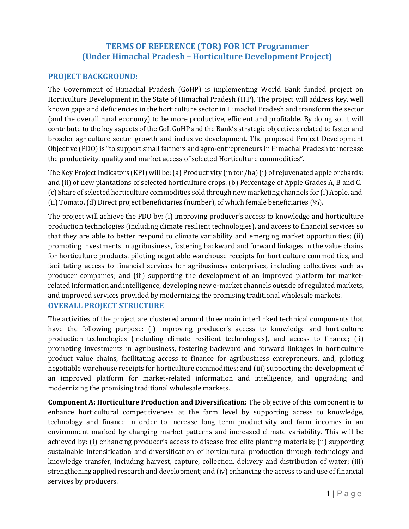# TERMS OF REFERENCE (TOR) FOR ICT Programmer (Under Himachal Pradesh – Horticulture Development Project)

### PROJECT BACKGROUND:

The Government of Himachal Pradesh (GoHP) is implementing World Bank funded project on Horticulture Development in the State of Himachal Pradesh (H.P). The project will address key, well known gaps and deficiencies in the horticulture sector in Himachal Pradesh and transform the sector (and the overall rural economy) to be more productive, efficient and profitable. By doing so, it will contribute to the key aspects of the GoI, GoHP and the Bank's strategic objectives related to faster and broader agriculture sector growth and inclusive development. The proposed Project Development Objective (PDO) is "to support small farmers and agro-entrepreneurs in Himachal Pradesh to increase the productivity, quality and market access of selected Horticulture commodities".

The Key Project Indicators (KPI) will be: (a) Productivity (in ton/ha) (i) of rejuvenated apple orchards; and (ii) of new plantations of selected horticulture crops. (b) Percentage of Apple Grades A, B and C. (c) Share of selected horticulture commodities sold through new marketing channels for (i) Apple, and (ii) Tomato. (d) Direct project beneficiaries (number), of which female beneficiaries (%).

The project will achieve the PDO by: (i) improving producer's access to knowledge and horticulture production technologies (including climate resilient technologies), and access to financial services so that they are able to better respond to climate variability and emerging market opportunities; (ii) promoting investments in agribusiness, fostering backward and forward linkages in the value chains for horticulture products, piloting negotiable warehouse receipts for horticulture commodities, and facilitating access to financial services for agribusiness enterprises, including collectives such as producer companies; and (iii) supporting the development of an improved platform for marketrelated information and intelligence, developing new e-market channels outside of regulated markets, and improved services provided by modernizing the promising traditional wholesale markets.

### OVERALL PROJECT STRUCTURE

The activities of the project are clustered around three main interlinked technical components that have the following purpose: (i) improving producer's access to knowledge and horticulture production technologies (including climate resilient technologies), and access to finance; (ii) promoting investments in agribusiness, fostering backward and forward linkages in horticulture product value chains, facilitating access to finance for agribusiness entrepreneurs, and, piloting negotiable warehouse receipts for horticulture commodities; and (iii) supporting the development of an improved platform for market-related information and intelligence, and upgrading and modernizing the promising traditional wholesale markets.

Component A: Horticulture Production and Diversification: The objective of this component is to enhance horticultural competitiveness at the farm level by supporting access to knowledge, technology and finance in order to increase long term productivity and farm incomes in an environment marked by changing market patterns and increased climate variability. This will be achieved by: (i) enhancing producer's access to disease free elite planting materials; (ii) supporting sustainable intensification and diversification of horticultural production through technology and knowledge transfer, including harvest, capture, collection, delivery and distribution of water; (iii) strengthening applied research and development; and (iv) enhancing the access to and use of financial services by producers.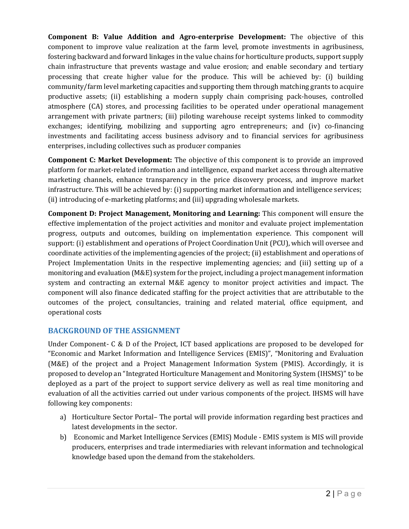Component B: Value Addition and Agro-enterprise Development: The objective of this component to improve value realization at the farm level, promote investments in agribusiness, fostering backward and forward linkages in the value chains for horticulture products, support supply chain infrastructure that prevents wastage and value erosion; and enable secondary and tertiary processing that create higher value for the produce. This will be achieved by: (i) building community/farm level marketing capacities and supporting them through matching grants to acquire productive assets; (ii) establishing a modern supply chain comprising pack-houses, controlled atmosphere (CA) stores, and processing facilities to be operated under operational management arrangement with private partners; (iii) piloting warehouse receipt systems linked to commodity exchanges; identifying, mobilizing and supporting agro entrepreneurs; and (iv) co-financing investments and facilitating access business advisory and to financial services for agribusiness enterprises, including collectives such as producer companies

Component C: Market Development: The objective of this component is to provide an improved platform for market-related information and intelligence, expand market access through alternative marketing channels, enhance transparency in the price discovery process, and improve market infrastructure. This will be achieved by: (i) supporting market information and intelligence services; (ii) introducing of e-marketing platforms; and (iii) upgrading wholesale markets.

Component D: Project Management, Monitoring and Learning: This component will ensure the effective implementation of the project activities and monitor and evaluate project implementation progress, outputs and outcomes, building on implementation experience. This component will support: (i) establishment and operations of Project Coordination Unit (PCU), which will oversee and coordinate activities of the implementing agencies of the project; (ii) establishment and operations of Project Implementation Units in the respective implementing agencies; and (iii) setting up of a monitoring and evaluation (M&E) system for the project, including a project management information system and contracting an external M&E agency to monitor project activities and impact. The component will also finance dedicated staffing for the project activities that are attributable to the outcomes of the project, consultancies, training and related material, office equipment, and operational costs

## BACKGROUND OF THE ASSIGNMENT

Under Component- C & D of the Project, ICT based applications are proposed to be developed for "Economic and Market Information and Intelligence Services (EMIS)", "Monitoring and Evaluation (M&E) of the project and a Project Management Information System (PMIS). Accordingly, it is proposed to develop an "Integrated Horticulture Management and Monitoring System (IHSMS)" to be deployed as a part of the project to support service delivery as well as real time monitoring and evaluation of all the activities carried out under various components of the project. IHSMS will have following key components:

- a) Horticulture Sector Portal– The portal will provide information regarding best practices and latest developments in the sector.
- b) Economic and Market Intelligence Services (EMIS) Module EMIS system is MIS will provide producers, enterprises and trade intermediaries with relevant information and technological knowledge based upon the demand from the stakeholders.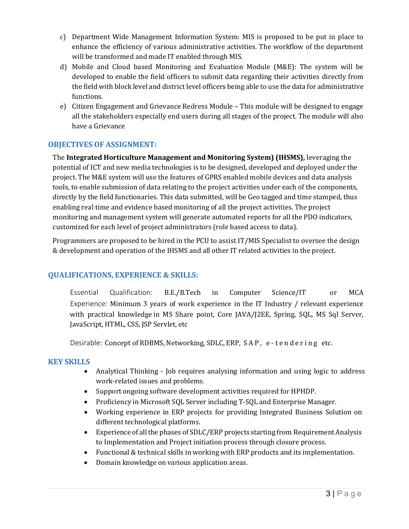- c) Department Wide Management Information System: MIS is proposed to be put in place to enhance the efficiency of various administrative activities. The workflow of the department will be transformed and made IT enabled through MIS.
- d) Mobile and Cloud based Monitoring and Evaluation Module (M&E): The system will be developed to enable the field officers to submit data regarding their activities directly from the field with block level and district level officers being able to use the data for administrative functions.
- e) Citizen Engagement and Grievance Redress Module This module will be designed to engage all the stakeholders especially end users during all stages of the project. The module will also have a Grievance

## OBJECTIVES OF ASSIGNMENT:

The Integrated Horticulture Management and Monitoring System) (IHSMS), leveraging the potential of ICT and new media technologies is to be designed, developed and deployed under the project. The M&E system will use the features of GPRS enabled mobile devices and data analysis tools, to enable submission of data relating to the project activities under each of the components, directly by the field functionaries. This data submitted, will be Geo tagged and time stamped, thus enabling real time and evidence based monitoring of all the project activities. The project monitoring and management system will generate automated reports for all the PDO indicators, customized for each level of project administrators (role based access to data).

Programmers are proposed to be hired in the PCU to assist IT/MIS Specialist to oversee the design & development and operation of the IHSMS and all other IT related activities in the project.

### QUALIFICATIONS, EXPERIENCE & SKILLS:

Essential Qualification: B.E./B.Tech in Computer Science/IT or MCA Experience: Minimum 3 years of work experience in the IT Industry / relevant experience with practical knowledge in MS Share point, Core JAVA/J2EE, Spring, SQL, MS Sql Server, JavaScript, HTML, CSS, JSP Servlet, etc

Desirable: Concept of RDBMS, Networking, SDLC, ERP, SAP, e-tendering etc.

### KEY SKILLS

- Analytical Thinking Job requires analysing information and using logic to address work-related issues and problems.
- Support ongoing software development activities required for HPHDP.
- Proficiency in Microsoft SQL Server including T-SQL and Enterprise Manager.
- Working experience in ERP projects for providing Integrated Business Solution on different technological platforms.
- Experience of all the phases of SDLC/ERP projects starting from Requirement Analysis to Implementation and Project initiation process through closure process.
- Functional & technical skills in working with ERP products and its implementation.
- Domain knowledge on various application areas.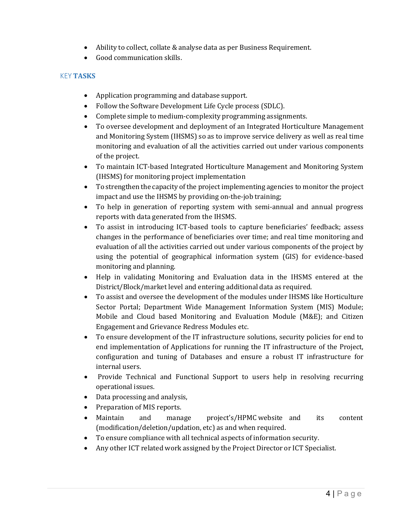- Ability to collect, collate & analyse data as per Business Requirement.
- Good communication skills.

#### **KEY TASKS**

- Application programming and database support.
- Follow the Software Development Life Cycle process (SDLC).
- Complete simple to medium-complexity programming assignments.
- To oversee development and deployment of an Integrated Horticulture Management and Monitoring System (IHSMS) so as to improve service delivery as well as real time monitoring and evaluation of all the activities carried out under various components of the project.
- To maintain ICT-based Integrated Horticulture Management and Monitoring System (IHSMS) for monitoring project implementation
- To strengthen the capacity of the project implementing agencies to monitor the project impact and use the IHSMS by providing on-the-job training;
- To help in generation of reporting system with semi-annual and annual progress reports with data generated from the IHSMS.
- To assist in introducing ICT-based tools to capture beneficiaries' feedback; assess changes in the performance of beneficiaries over time; and real time monitoring and evaluation of all the activities carried out under various components of the project by using the potential of geographical information system (GIS) for evidence-based monitoring and planning.
- Help in validating Monitoring and Evaluation data in the IHSMS entered at the District/Block/market level and entering additional data as required.
- To assist and oversee the development of the modules under IHSMS like Horticulture Sector Portal; Department Wide Management Information System (MIS) Module; Mobile and Cloud based Monitoring and Evaluation Module (M&E); and Citizen Engagement and Grievance Redress Modules etc.
- To ensure development of the IT infrastructure solutions, security policies for end to end implementation of Applications for running the IT infrastructure of the Project, configuration and tuning of Databases and ensure a robust IT infrastructure for internal users.
- Provide Technical and Functional Support to users help in resolving recurring operational issues.
- Data processing and analysis,
- Preparation of MIS reports.
- Maintain and manage project's/HPMC website and its content (modification/deletion/updation, etc) as and when required.
- To ensure compliance with all technical aspects of information security.
- Any other ICT related work assigned by the Project Director or ICT Specialist.